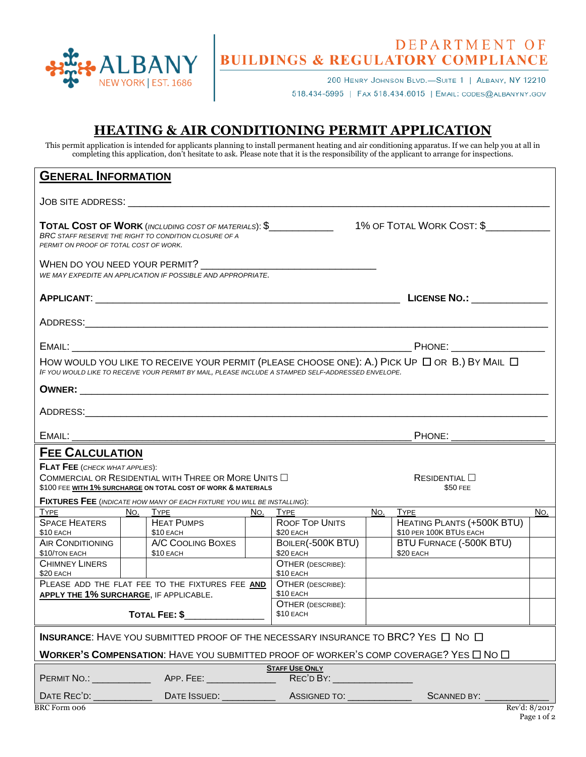

## DEPARTMENT OF<br>BUILDINGS & REGULATORY COMPLIANCE

200 HENRY JOHNSON BLVD.-SUITE 1 | ALBANY, NY 12210 518.434-5995 | FAX 518.434.6015 | EMAIL: CODES@ALBANYNY.GOV

## **HEATING & AIR CONDITIONING PERMIT APPLICATION**

This permit application is intended for applicants planning to install permanent heating and air conditioning apparatus. If we can help you at all in completing this application, don't hesitate to ask. Please note that it is the responsibility of the applicant to arrange for inspections.

| <b>GENERAL INFORMATION</b>                                                                                                                                                                                     |                                                       |                                                                                                                                                                                                                                |     |                                                       |     |                                                              |               |  |
|----------------------------------------------------------------------------------------------------------------------------------------------------------------------------------------------------------------|-------------------------------------------------------|--------------------------------------------------------------------------------------------------------------------------------------------------------------------------------------------------------------------------------|-----|-------------------------------------------------------|-----|--------------------------------------------------------------|---------------|--|
| JOB SITE ADDRESS: A STATE OF STATE AND THE STATE OF STATE AND THE STATE OF STATE OF STATE OF STATE OF STATE OF                                                                                                 |                                                       |                                                                                                                                                                                                                                |     |                                                       |     |                                                              |               |  |
| PERMIT ON PROOF OF TOTAL COST OF WORK.                                                                                                                                                                         | BRC STAFF RESERVE THE RIGHT TO CONDITION CLOSURE OF A |                                                                                                                                                                                                                                |     |                                                       |     |                                                              |               |  |
|                                                                                                                                                                                                                |                                                       | WE MAY EXPEDITE AN APPLICATION IF POSSIBLE AND APPROPRIATE.                                                                                                                                                                    |     |                                                       |     |                                                              |               |  |
|                                                                                                                                                                                                                |                                                       |                                                                                                                                                                                                                                |     |                                                       |     |                                                              |               |  |
|                                                                                                                                                                                                                |                                                       |                                                                                                                                                                                                                                |     |                                                       |     |                                                              |               |  |
|                                                                                                                                                                                                                |                                                       |                                                                                                                                                                                                                                |     |                                                       |     |                                                              |               |  |
| HOW WOULD YOU LIKE TO RECEIVE YOUR PERMIT (PLEASE CHOOSE ONE): A.) PICK UP $\Box$ OR B.) BY MAIL $\Box$<br>IF YOU WOULD LIKE TO RECEIVE YOUR PERMIT BY MAIL, PLEASE INCLUDE A STAMPED SELF-ADDRESSED ENVELOPE. |                                                       |                                                                                                                                                                                                                                |     |                                                       |     |                                                              |               |  |
|                                                                                                                                                                                                                |                                                       |                                                                                                                                                                                                                                |     |                                                       |     |                                                              |               |  |
|                                                                                                                                                                                                                |                                                       |                                                                                                                                                                                                                                |     |                                                       |     |                                                              |               |  |
|                                                                                                                                                                                                                |                                                       |                                                                                                                                                                                                                                |     | PHONE: ____________________                           |     |                                                              |               |  |
| <b>FEE CALCULATION</b>                                                                                                                                                                                         |                                                       |                                                                                                                                                                                                                                |     |                                                       |     |                                                              |               |  |
| <b>FLAT FEE</b> (CHECK WHAT APPLIES):<br>COMMERCIAL OR RESIDENTIAL WITH THREE OR MORE UNITS $\Box$<br>\$100 FEE WITH 1% SURCHARGE ON TOTAL COST OF WORK & MATERIALS                                            |                                                       |                                                                                                                                                                                                                                |     |                                                       |     | ResIDENTIAL<br>\$50 FEE                                      |               |  |
| FIXTURES FEE (INDICATE HOW MANY OF EACH FIXTURE YOU WILL BE INSTALLING):                                                                                                                                       |                                                       |                                                                                                                                                                                                                                |     |                                                       |     |                                                              |               |  |
|                                                                                                                                                                                                                |                                                       | No. Type and the state of the state of the state of the state of the state of the state of the state of the state of the state of the state of the state of the state of the state of the state of the state of the state of t | No. | <b>TYPE</b>                                           | No. | <b>TYPE</b>                                                  | No.           |  |
| <b>SPACE HEATERS</b><br>\$10 EACH                                                                                                                                                                              |                                                       | <b>HEAT PUMPS</b><br>\$10 EACH                                                                                                                                                                                                 |     | <b>ROOF TOP UNITS</b><br>\$20 EACH                    |     | <b>HEATING PLANTS (+500K BTU)</b><br>\$10 PER 100K BTUS EACH |               |  |
| <b>AIR CONDITIONING</b><br>\$10/TON EACH                                                                                                                                                                       |                                                       | A/C COOLING BOXES<br>\$10 EACH                                                                                                                                                                                                 |     | BOILER(-500K BTU)<br>\$20 EACH                        |     | BTU FURNACE (-500K BTU)<br>\$20 EACH                         |               |  |
| <b>CHIMNEY LINERS</b><br>\$20 EACH                                                                                                                                                                             |                                                       |                                                                                                                                                                                                                                |     | OTHER (DESCRIBE):<br>\$10 EACH                        |     |                                                              |               |  |
| PLEASE ADD THE FLAT FEE TO THE FIXTURES FEE AND<br>APPLY THE 1% SURCHARGE, IF APPLICABLE.                                                                                                                      |                                                       |                                                                                                                                                                                                                                |     | <b>OTHER (DESCRIBE):</b><br>\$10 EACH                 |     |                                                              |               |  |
| TOTAL FEE: \$                                                                                                                                                                                                  |                                                       |                                                                                                                                                                                                                                |     | OTHER (DESCRIBE):<br>\$10 EACH                        |     |                                                              |               |  |
| INSURANCE: HAVE YOU SUBMITTED PROOF OF THE NECESSARY INSURANCE TO BRC? YES □ NO □                                                                                                                              |                                                       |                                                                                                                                                                                                                                |     |                                                       |     |                                                              |               |  |
| <b>WORKER'S COMPENSATION:</b> HAVE YOU SUBMITTED PROOF OF WORKER'S COMP COVERAGE? YES $\Box$ No $\Box$                                                                                                         |                                                       |                                                                                                                                                                                                                                |     |                                                       |     |                                                              |               |  |
|                                                                                                                                                                                                                |                                                       |                                                                                                                                                                                                                                |     | <b>STAFF USE ONLY</b><br>REC'D BY: __________________ |     |                                                              |               |  |
|                                                                                                                                                                                                                |                                                       |                                                                                                                                                                                                                                |     |                                                       |     | SCANNED BY:                                                  |               |  |
| <b>BRC</b> Form 006                                                                                                                                                                                            |                                                       |                                                                                                                                                                                                                                |     |                                                       |     |                                                              | Rev'd: 8/2017 |  |